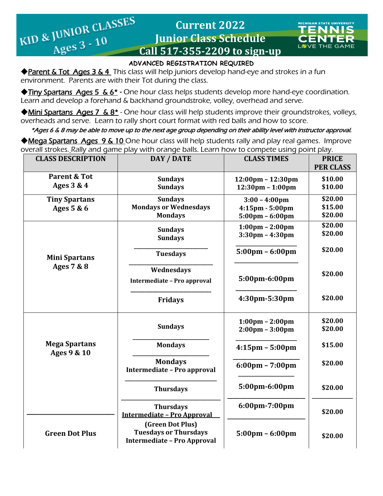# **Current 2022 Junior Class Schedule Current 2022**<br> **EXECUTE:** EXECUTE: EXECUTE: EXECUTE: Ages 3 - 10<br> **Call 517-355-2209 to sign-up**



### **ADVANCED REGISTRATION REQUIRED**

◆ Parent & Tot Ages 3 & 4 This class will help juniors develop hand-eye and strokes in a fun environment. Parents are with their Tot during the class.

 $\frac{\text{JUNICE}}{\text{Ages } 3 - 10}$ 

 ◆Tiny Spartans Ages 5 & 6\* *-* One hour class helps students develop more hand-eye coordination. Learn and develop a forehand & backhand groundstroke, volley, overhead and serve.

◆Mini Spartans Ages 7 & 8<sup>\*</sup> - One hour class will help students improve their groundstrokes, volleys, overheads and serve. Learn to rally short court format with red balls and how to score.

\*Ages 6 & 8 may be able to move up to the next age group depending on their ability level with instructor approval.

◆Mega Spartans Ages 9 & 10 One hour class will help students rally and play real games. Improve overall strokes. Rally and game play with orange balls. Learn how to compete using point play.

| <b>CLASS DESCRIPTION</b>              | DAY / DATE                                                                             | <b>CLASS TIMES</b>                                                                    | <b>PRICE</b><br><b>PER CLASS</b> |
|---------------------------------------|----------------------------------------------------------------------------------------|---------------------------------------------------------------------------------------|----------------------------------|
| <b>Parent &amp; Tot</b><br>Ages 3 & 4 | <b>Sundays</b><br><b>Sundays</b>                                                       | $12:00 \text{pm} - 12:30 \text{pm}$<br>$12:30 \text{pm} - 1:00 \text{pm}$             | \$10.00<br>\$10.00               |
| <b>Tiny Spartans</b><br>Ages 5 & 6    | <b>Sundays</b><br><b>Mondays or Wednesdays</b><br><b>Mondays</b>                       | $3:00 - 4:00 \text{pm}$<br>$4:15$ pm - $5:00$ pm<br>$5:00 \text{pm} - 6:00 \text{pm}$ | \$20.00<br>\$15.00<br>\$20.00    |
| <b>Mini Spartans</b><br>Ages 7 & 8    | <b>Sundays</b><br><b>Sundays</b>                                                       | $1:00 \text{pm} - 2:00 \text{pm}$<br>$3:30$ pm - 4:30pm                               | \$20.00<br>\$20.00               |
|                                       | <b>Tuesdays</b>                                                                        | $5:00 \text{pm} - 6:00 \text{pm}$                                                     | \$20.00                          |
|                                       | Wednesdays<br>Intermediate - Pro approval                                              | 5:00pm-6:00pm                                                                         | \$20.00                          |
|                                       | <b>Fridays</b>                                                                         | 4:30pm-5:30pm                                                                         | \$20.00                          |
| <b>Mega Spartans</b><br>Ages 9 & 10   | <b>Sundays</b>                                                                         | $1:00 \text{pm} - 2:00 \text{pm}$<br>$2:00 \text{pm} - 3:00 \text{pm}$                | \$20.00<br>\$20.00               |
|                                       | <b>Mondays</b>                                                                         | $4:15$ pm - $5:00$ pm                                                                 | \$15.00                          |
|                                       | <b>Mondays</b><br>Intermediate - Pro approval                                          | $6:00 \text{pm} - 7:00 \text{pm}$                                                     | \$20.00                          |
|                                       | <b>Thursdays</b>                                                                       | 5:00pm-6:00pm                                                                         | \$20.00                          |
|                                       | <b>Thursdays</b><br><b>Intermediate - Pro Approval</b>                                 | 6:00pm-7:00pm                                                                         | \$20.00                          |
| <b>Green Dot Plus</b>                 | (Green Dot Plus)<br><b>Tuesdays or Thursdays</b><br><b>Intermediate - Pro Approval</b> | $5:00 \text{pm} - 6:00 \text{pm}$                                                     | \$20.00                          |